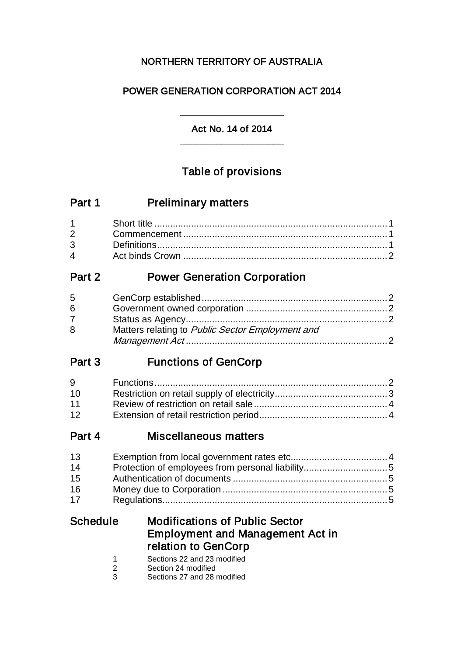# NORTHERN TERRITORY OF AUSTRALIA

# POWER GENERATION CORPORATION ACT 2014

## \_\_\_\_\_\_\_\_\_\_\_\_\_\_\_\_\_\_\_\_ Act No. 14 of 2014 \_\_\_\_\_\_\_\_\_\_\_\_\_\_\_\_\_\_\_\_

# Table of provisions

| Part 1 | <b>Preliminary matters</b> |
|--------|----------------------------|
|--------|----------------------------|

# Part 2 **Power Generation Corporation**

| $5^{\circ}$ |                                                  |  |
|-------------|--------------------------------------------------|--|
| 6           |                                                  |  |
| $7^{\circ}$ |                                                  |  |
| 8           | Matters relating to Public Sector Employment and |  |
|             |                                                  |  |

# Part 3 Functions of GenCorp

| 9               |  |
|-----------------|--|
| 10 <sup>1</sup> |  |
| 11              |  |
| 12 <sup>7</sup> |  |

# Part 4 Miscellaneous matters

| 13 |  |
|----|--|
| 14 |  |
| 15 |  |
| 16 |  |
| 17 |  |

# Schedule Modifications of Public Sector Employment and Management Act in relation to GenCorp

- 1 Sections 22 and 23 modified<br>2 Section 24 modified
- 2 Section 24 modified<br>3 Sections 27 and 28 r
- Sections 27 and 28 modified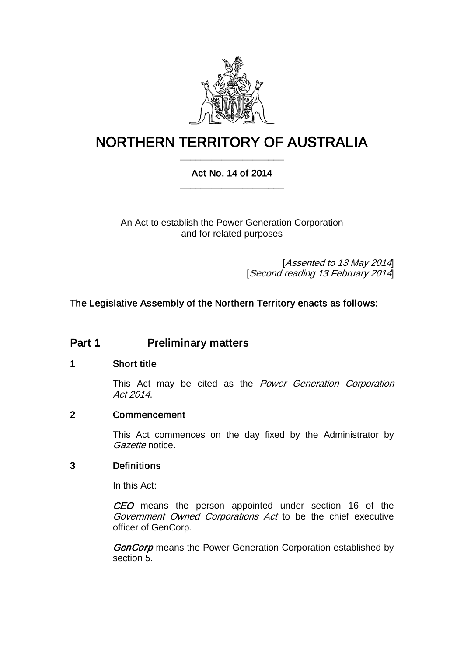

# NORTHERN TERRITORY OF AUSTRALIA \_\_\_\_\_\_\_\_\_\_\_\_\_\_\_\_\_\_\_\_

## Act No. 14 of 2014 \_\_\_\_\_\_\_\_\_\_\_\_\_\_\_\_\_\_\_\_

An Act to establish the Power Generation Corporation and for related purposes

> [Assented to 13 May 2014] [Second reading 13 February 2014]

## The Legislative Assembly of the Northern Territory enacts as follows:

# Part 1 Preliminary matters

### 1 Short title

This Act may be cited as the Power Generation Corporation Act 2014.

### 2 Commencement

This Act commences on the day fixed by the Administrator by Gazette notice.

### 3 Definitions

In this Act:

CEO means the person appointed under section 16 of the Government Owned Corporations Act to be the chief executive officer of GenCorp.

GenCorp means the Power Generation Corporation established by section [5.](#page-2-0)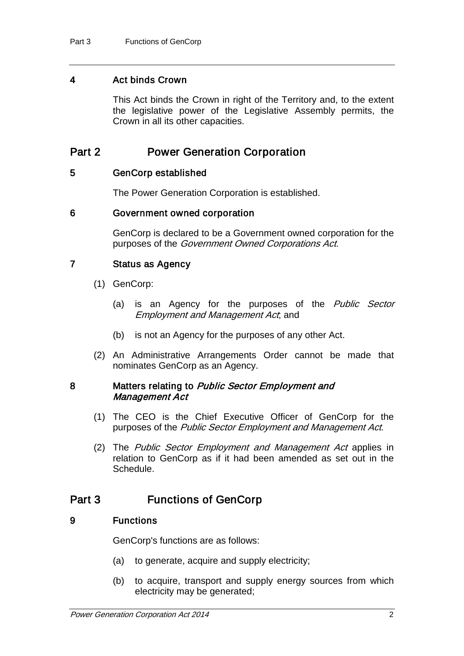### 4 Act binds Crown

This Act binds the Crown in right of the Territory and, to the extent the legislative power of the Legislative Assembly permits, the Crown in all its other capacities.

# Part 2 Power Generation Corporation

### <span id="page-2-0"></span>5 GenCorp established

The Power Generation Corporation is established.

### 6 Government owned corporation

GenCorp is declared to be a Government owned corporation for the purposes of the Government Owned Corporations Act.

### 7 Status as Agency

- (1) GenCorp:
	- (a) is an Agency for the purposes of the *Public Sector* Employment and Management Act; and
	- (b) is not an Agency for the purposes of any other Act.
- (2) An Administrative Arrangements Order cannot be made that nominates GenCorp as an Agency.

### <span id="page-2-2"></span>8 Matters relating to Public Sector Employment and Management Act

- (1) The CEO is the Chief Executive Officer of GenCorp for the purposes of the Public Sector Employment and Management Act.
- (2) The Public Sector Employment and Management Act applies in relation to GenCorp as if it had been amended as set out in the Schedule.

# Part 3 Functions of GenCorp

### <span id="page-2-1"></span>9 Functions

GenCorp's functions are as follows:

- (a) to generate, acquire and supply electricity;
- (b) to acquire, transport and supply energy sources from which electricity may be generated;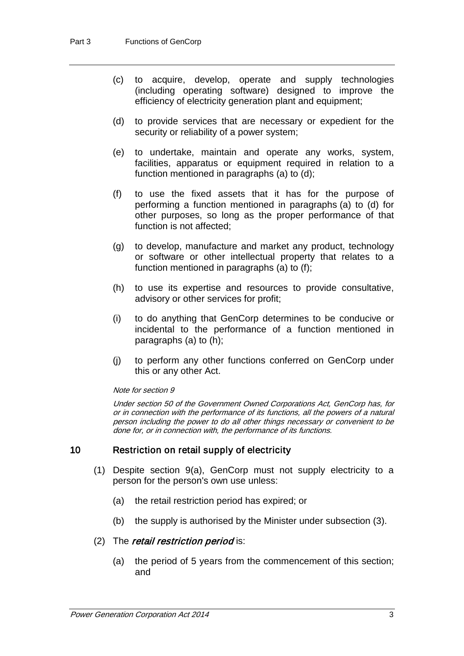- (c) to acquire, develop, operate and supply technologies (including operating software) designed to improve the efficiency of electricity generation plant and equipment;
- (d) to provide services that are necessary or expedient for the security or reliability of a power system;
- (e) to undertake, maintain and operate any works, system, facilities, apparatus or equipment required in relation to a function mentioned in paragraphs (a) to (d);
- (f) to use the fixed assets that it has for the purpose of performing a function mentioned in paragraphs (a) to (d) for other purposes, so long as the proper performance of that function is not affected;
- (g) to develop, manufacture and market any product, technology or software or other intellectual property that relates to a function mentioned in paragraphs (a) to (f);
- (h) to use its expertise and resources to provide consultative, advisory or other services for profit;
- (i) to do anything that GenCorp determines to be conducive or incidental to the performance of a function mentioned in paragraphs (a) to (h);
- (j) to perform any other functions conferred on GenCorp under this or any other Act.

#### Note for sectio[n 9](#page-2-1)

Under section 50 of the Government Owned Corporations Act, GenCorp has, for or in connection with the performance of its functions, all the powers of a natural person including the power to do all other things necessary or convenient to be done for, or in connection with, the performance of its functions.

### <span id="page-3-0"></span>10 Restriction on retail supply of electricity

- (1) Despite section [9\(](#page-2-1)a), GenCorp must not supply electricity to a person for the person's own use unless:
	- (a) the retail restriction period has expired; or
	- (b) the supply is authorised by the Minister under subsection (3).

### (2) The *retail restriction period* is:

(a) the period of 5 years from the commencement of this section; and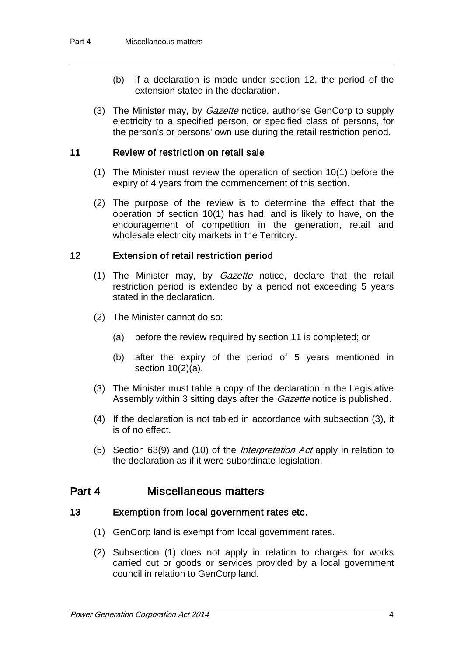- (b) if a declaration is made under section [12,](#page-4-0) the period of the extension stated in the declaration.
- (3) The Minister may, by *Gazette* notice, authorise GenCorp to supply electricity to a specified person, or specified class of persons, for the person's or persons' own use during the retail restriction period.

### <span id="page-4-1"></span>11 Review of restriction on retail sale

- (1) The Minister must review the operation of section [10\(](#page-3-0)1) before the expiry of 4 years from the commencement of this section.
- (2) The purpose of the review is to determine the effect that the operation of section [10\(](#page-3-0)1) has had, and is likely to have, on the encouragement of competition in the generation, retail and wholesale electricity markets in the Territory.

### <span id="page-4-0"></span>12 Extension of retail restriction period

- (1) The Minister may, by *Gazette* notice, declare that the retail restriction period is extended by a period not exceeding 5 years stated in the declaration.
- (2) The Minister cannot do so:
	- (a) before the review required by section [11](#page-4-1) is completed; or
	- (b) after the expiry of the period of 5 years mentioned in section [10\(](#page-3-0)2)(a).
- (3) The Minister must table a copy of the declaration in the Legislative Assembly within 3 sitting days after the *Gazette* notice is published.
- (4) If the declaration is not tabled in accordance with subsection (3), it is of no effect.
- (5) Section 63(9) and (10) of the *Interpretation Act* apply in relation to the declaration as if it were subordinate legislation.

## Part 4 Miscellaneous matters

### 13 Exemption from local government rates etc.

- (1) GenCorp land is exempt from local government rates.
- (2) Subsection (1) does not apply in relation to charges for works carried out or goods or services provided by a local government council in relation to GenCorp land.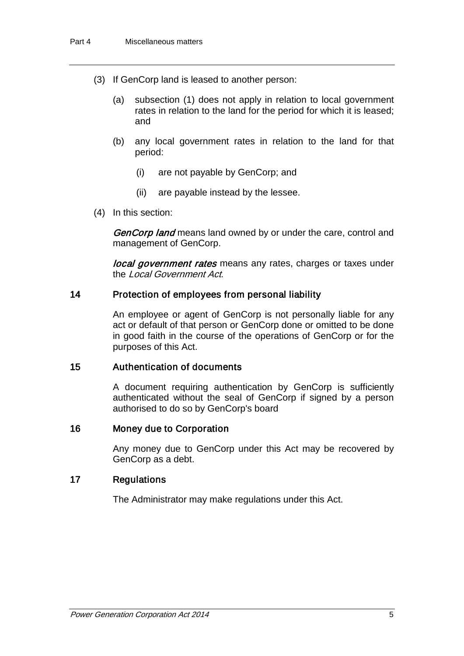- (3) If GenCorp land is leased to another person:
	- (a) subsection (1) does not apply in relation to local government rates in relation to the land for the period for which it is leased; and
	- (b) any local government rates in relation to the land for that period:
		- (i) are not payable by GenCorp; and
		- (ii) are payable instead by the lessee.
- (4) In this section:

GenCorp land means land owned by or under the care, control and management of GenCorp.

local government rates means any rates, charges or taxes under the Local Government Act.

### 14 Protection of employees from personal liability

An employee or agent of GenCorp is not personally liable for any act or default of that person or GenCorp done or omitted to be done in good faith in the course of the operations of GenCorp or for the purposes of this Act.

### 15 Authentication of documents

A document requiring authentication by GenCorp is sufficiently authenticated without the seal of GenCorp if signed by a person authorised to do so by GenCorp's board

### 16 Money due to Corporation

Any money due to GenCorp under this Act may be recovered by GenCorp as a debt.

### 17 Regulations

The Administrator may make regulations under this Act.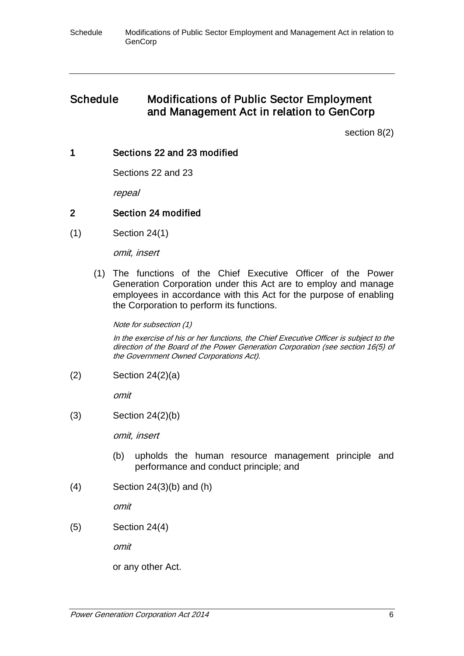# Schedule Modifications of Public Sector Employment and Management Act in relation to GenCorp

section [8\(](#page-2-2)2)

### 1 Sections 22 and 23 modified

Sections 22 and 23

repeal

## 2 Section 24 modified

(1) Section 24(1)

omit, insert

(1) The functions of the Chief Executive Officer of the Power Generation Corporation under this Act are to employ and manage employees in accordance with this Act for the purpose of enabling the Corporation to perform its functions.

Note for subsection (1)

In the exercise of his or her functions, the Chief Executive Officer is subject to the direction of the Board of the Power Generation Corporation (see section 16(5) of the Government Owned Corporations Act).

(2) Section 24(2)(a)

omit

(3) Section 24(2)(b)

omit, insert

- (b) upholds the human resource management principle and performance and conduct principle; and
- (4) Section 24(3)(b) and (h)

omit

(5) Section 24(4)

omit

or any other Act.